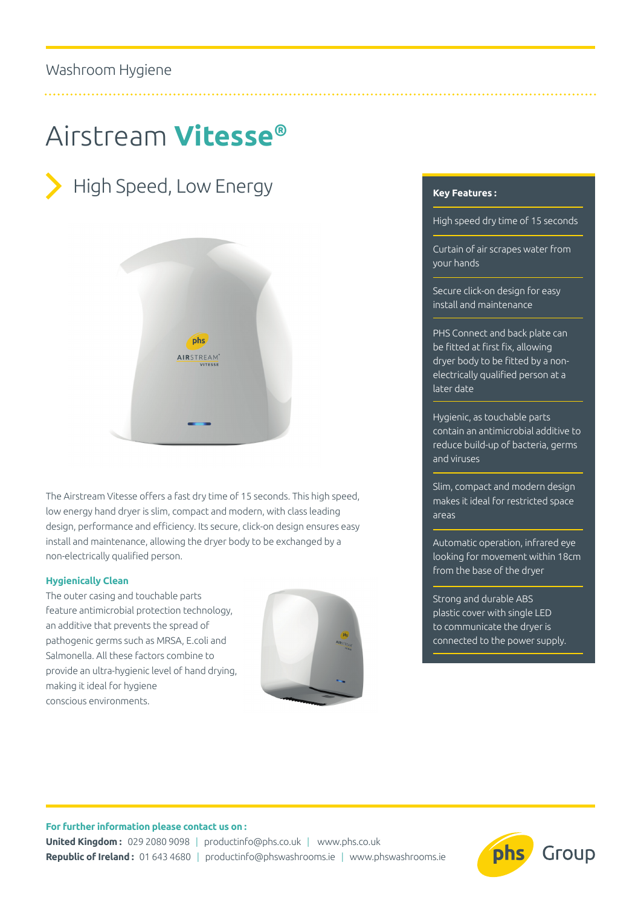# Airstream **Vitesse®**





The Airstream Vitesse offers a fast dry time of 15 seconds. This high speed, low energy hand dryer is slim, compact and modern, with class leading design, performance and efficiency. Its secure, click-on design ensures easy install and maintenance, allowing the dryer body to be exchanged by a non-electrically qualified person.

## **Hygienically Clean**

The outer casing and touchable parts feature antimicrobial protection technology, an additive that prevents the spread of pathogenic germs such as MRSA, E.coli and Salmonella. All these factors combine to provide an ultra-hygienic level of hand drying, making it ideal for hygiene conscious environments.



## **Key Features :**

High speed dry time of 15 seconds

Curtain of air scrapes water from your hands

Secure click-on design for easy install and maintenance

PHS Connect and back plate can be fitted at first fix, allowing dryer body to be fitted by a nonelectrically qualified person at a later date

Hygienic, as touchable parts contain an antimicrobial additive to reduce build-up of bacteria, germs and viruses

Slim, compact and modern design makes it ideal for restricted space areas

Automatic operation, infrared eye looking for movement within 18cm from the base of the dryer

Strong and durable ABS plastic cover with single LED to communicate the dryer is connected to the power supply.

#### **For further information please contact us on :**

**United Kingdom :** 029 2080 9098 | productinfo@phs.co.uk | www.phs.co.uk **Republic of Ireland :** 01 643 4680 | productinfo@phswashrooms.ie | www.phswashrooms.ie